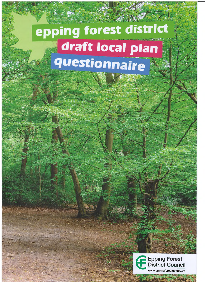# epping forest district draft local plan questionnaire

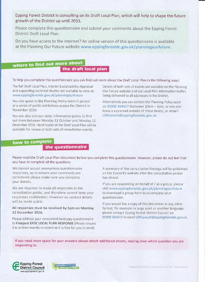Epping Forest District is consulting on its Draft Local Plan, which will help to shape the future growth of the District up until 2033.

Please complete this questionnaire and submit your comments about the Epping Forest District Draft Local Plan.

Do you have access to the internet? An online version of this questionnaire is available at the Planning Our Future website www.eppingforestdc.gov.uk/planningourfuture.

### where to find out more about

the draft local plan

To help you complete this questionnaire you can find out more about the Draft Local Plan in the following ways:

The full Draft Local Plan, Interim Sustainability Appraisal and supporting technical studies are available to view at: www.eppingforestdc.gov.uk/planningourfuture

You can speak to the Planning Policy team in person at a series of public exhibitions across the District in November 2016.

You can also visit our static information points to find out more between Monday 31 October and Monday 12 December 2016. Hard copies of the Draft Local Plan will be available for review at both sets of consultation events.

Details of both sets of events are available on the Planning Our Future website and our Local Plan information leaflet, being delivered to all addresses in the District.

Alternatively you can contact the Planning Policy team on 01992 564517 (between  $10am - 4pm$ , or you can leave a voicemail outside of these times), or email: LDFconsult@eppingforestdc.gov.uk

### how to complete

### *rnmam* the questionnaire

Please read the Draft Local Plan document before you complete this questionnaire. However, please do not feel that you have to complete all the questions.

We cannot accept anonymous questionnaire responses, so to ensure your comments are considered please make sure you complete your details.

We are required to make all responses to the consultation public, and therefore cannot keep your responses confidential. However no contact details will be made public.

#### **All responses must be received by 5pm on Monday 12 December 2016.**

Please address your completed hardcopy questionnaire to **Freepost EFDC LOCAL PLAN RESPONSE** (Please ensure it is written exactly as stated so it is free for you to send).

A summary of the consultation findings will be published on the Council's website after the consultation period has closed.

If you are responding on behalf of / as a group, please visit www.eppingforestdc.gov.uk/planningourfuture to download a group form to accompany your questionnaire.

If you would like a copy of this document in any other format, for example in large print or another language, please contact Epping Forest District Council on 01992 564517 or email LDFconsult@eppingforestdc.gov.uk.

**If you need more space for your answers please attach additional sheets, making clear which question you are responding to.**



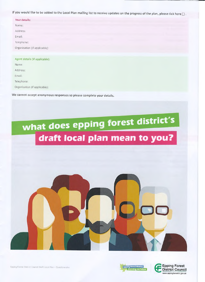**If you would like to be added to the Local Plan mailing list to receive updates on the progress of the plan, please tick here □ .**

| Your details:                  |  |  |
|--------------------------------|--|--|
| Name:                          |  |  |
| Address:                       |  |  |
| Email:                         |  |  |
| Telephone:                     |  |  |
| Organisation (if applicable):  |  |  |
|                                |  |  |
| Agent details (if applicable): |  |  |
| Name:                          |  |  |
| Address:                       |  |  |
| Email:                         |  |  |
| Telephone:                     |  |  |
| Organisation (if applicable):  |  |  |

**We cannot accept anonymous responses so please complete your details.**

## what does epping forest district's draft local plan mean to you?





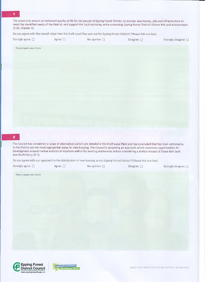The vision is to ensure an enhanced quality of life for the people of Epping Forest District, to provide new homes, jobs and infrastructure to meet the identified needs of the District, and support the local economy, while protecting Epping Forest District's Green Belt and environment. (3.26, Chapter 3).

Do you agree with the overall vision that the Draft Local Plan sets out for Epping Forest District? (Please tick one box)

| Strongly agree $\Box$ | Agree [ | No opinion $\Box$ | Disagree $\Box$ | Strongly disagree [ |
|-----------------------|---------|-------------------|-----------------|---------------------|

Please explain your choice

2

The Council has considered a range of alternatives (which are detailed in the Draft Local Plan) and has concluded that the main settlements in the District are the most appropriate areas for new housing. The Council is proposing an approach which maximises opportunities for development around Flarlow and also in locations within the existing settlements before considering a limited release of Green Belt land (see Draft Policy SP 2).

Do you agree with our approach to the distribution of new housing across Epping Forest District? (Please tick one box)

| Strongly agree $\square$ | Agree $\Box$ | No opinion $\Box$ | Disagree $\Box$ | Strongly disagree $\Box$ |
|--------------------------|--------------|-------------------|-----------------|--------------------------|
|                          |              |                   |                 |                          |

Please explain your choice



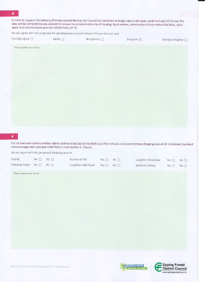In order to support the delivery of homes around Harlow, the Council has identified strategic sites to the west, south and east of Harlow. The sites will be comprehensively planned to ensure the provision of a mix of housing, local centres, community and educational facilities, open space and new transport provision (Draft Policy SP 3).

Do you agree with the proposals for development around Harlow? (Please tick one box)

| $\rightarrow$ Strongly agree $\Box$ $\rightarrow$ | Agree $\Box$ | No opinion $\Box$ |                 |                             |
|---------------------------------------------------|--------------|-------------------|-----------------|-----------------------------|
|                                                   |              |                   | Disagree $\Box$ | Strongly disagree $\square$ |

Please explain your choice

Forthe two town centres and four district centres in the District the Draft local Plan sets out a proposed primary shopping area which is intended to protect and encourage retail uses (see Draft Policy E 2 and Section 5 - Places).

Do you agree with the proposed shopping area in:

| Epping                    | Yes $\Box$ No $\Box$ |                 | Buckhurst Hill     | Yes $\Box$ No $\Box$ | Loughton Broadway | Yes $\Box$           | $\mathsf{No}\ \mathsf{\Pi}$ |
|---------------------------|----------------------|-----------------|--------------------|----------------------|-------------------|----------------------|-----------------------------|
| Chipping Ongar Yes $\Box$ |                      | No <sub>1</sub> | Loughton High Road | $Yes \Box NO \Box$   | Waltham Abbey     | Yes $\Box$ No $\Box$ |                             |

Please explain your choice



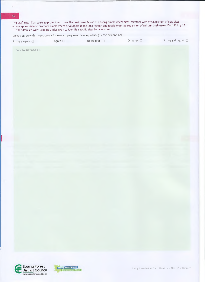The Draft Local Plan seeks to protect and make the best possible use of existing employment sites, together with the allocation of new sites where appropriate to promote employment development and job creation and to allow for the expansion of existing businesses (Draft Policy E 1). Further detailed work is being undertaken to identify specific sites for allocation.

Do you agree with the proposals for new employment development? (please tick one box)

Strongly agree □ Agree □ No opinion □ Disagree □ Strongly disagree □

Please explain your choice





Epping Forest District Council Draft Local Plan - Questionnaire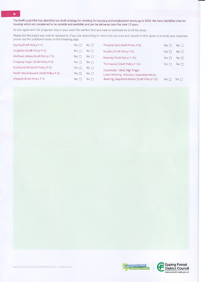The Draft Local Plan has identified our draft strategy for meeting the housing and employment needs up to 2033. We have identified sites for housing which are considered to be suitable and available and can be delivered over the next 17 years.

Do you agree with the proposed sites in your area? Do not feel that you have to comment on all of the areas.

Please tick the area/s you wish to respond to. If you are responding to more than one area and require further space to provide your response, please use the additional sheet on the following page.

| No <sub>1</sub>             |
|-----------------------------|
| No <sub>1</sub>             |
| No <sub>1</sub>             |
| $\mathbb{N}^{\circ}$ $\Box$ |
|                             |
|                             |
| $\mathbb{N} \circ \Box$     |
|                             |



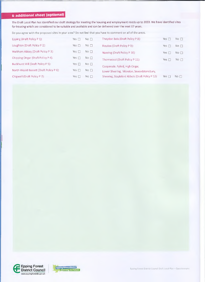### 6 additional sheet (optional!

The Draft Local Plan has identified our draft strategy for meeting the housing and employment needs up to 2033. We have identified sites for housing which are considered to be suitable and available and can be delivered over the next 17 years.

Do you agree with the proposed sites in your area? Do not feel that you have to comment on all of the areas.

| Epping (Draft Policy P 1):              | Yes $\Box$ | No <sub>1</sub>         | Theydon Bois (Draft Policy P 8):                 | Yes [<br>- 1 | $\mathbb{N} \circ \Box$ |
|-----------------------------------------|------------|-------------------------|--------------------------------------------------|--------------|-------------------------|
| Loughton (Draft Policy P 2):            | Yes $\Box$ | $N \circ \Box$          | Roydon (Draft Policy P 9):                       | Yes $\Box$   | No <sub>1</sub>         |
| Waltham Abbey (Draft Policy P 3):       | Yes $\Box$ | $No \Box$               | Nazeing (Draft Policy P 10):                     | Yes $\Box$   | No <sub>1</sub>         |
| Chipping Ongar (Draft Policy P 4):      | Yes m      | $No$ $\Box$             | Thornwood (Draft Policy P 11):                   | Yes $\Box$   | $No \Box$               |
| Buckhurst Hill (Draft Policy P 5):      | Yes $\Box$ | $N \circ \Box$          | Coopersale. Fyfeld, High Ongar,                  |              |                         |
| North Weald Bassett (Draft Policy P 6): | Yes $\Box$ | $\mathbb{N} \circ \Box$ | Lower Sheering, Moreton, Sewardstonebury,        |              |                         |
| Chigwell (Draft Policy P 7):            | Yes $\Box$ | No <sub>1</sub>         | Sheering, Stapleford Abbots (Draft Policy P 12): | Yes $\Box$   | No $\Box$               |



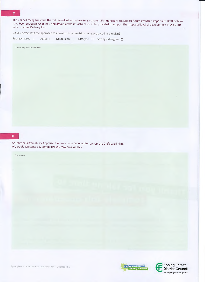The Council recognises that the delivery of infrastructure (e.g. schools, GPs, transport) to support future growth is important. Draft policies have been set out in Chapter 6 and details of the infrastructure to be provided to support the proposed level of development in the Draft Infrastructure Delivery Plan.

Do you agree with the approach to infrastructure provision being proposed in the plan?

Strongly agree □ Agree □ No opinion □ Disagree □ Strongly disagree □

Please explain your choice

An Interim Sustainability Appraisal has been commissioned to support the Draft Local Plan. We would welcome any comments you may have on this.

Comments

Epping Forest District Council Draft Local Plan - Questionnaire

g forest district

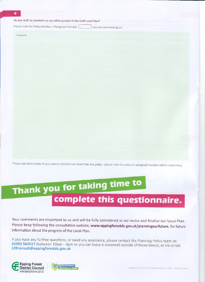Do you wish to comment on any other policies in the Draft Local Plan?

Please note the Policy Number / Paragraph Number | vou are commenting on.

Comments



### Thank you for taking time to complete this questionnaire,

Your comments are important to us and will be fully considered as we revise and finalise our Local Plan. Please keep following the consultation website, **www.eppingforestdc.gov.uk/planningourfuture,** for future information about the progress of the Local Plan.

If you have any further questions, or need any assistance, please contact the Planning Policy team on **01992 564517** (between 10am - 4pm or you can leave a voicemail outside of these times), or via email: LDFconsult@ eppingforestdc.gov.uk



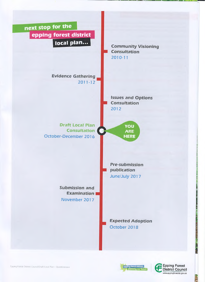